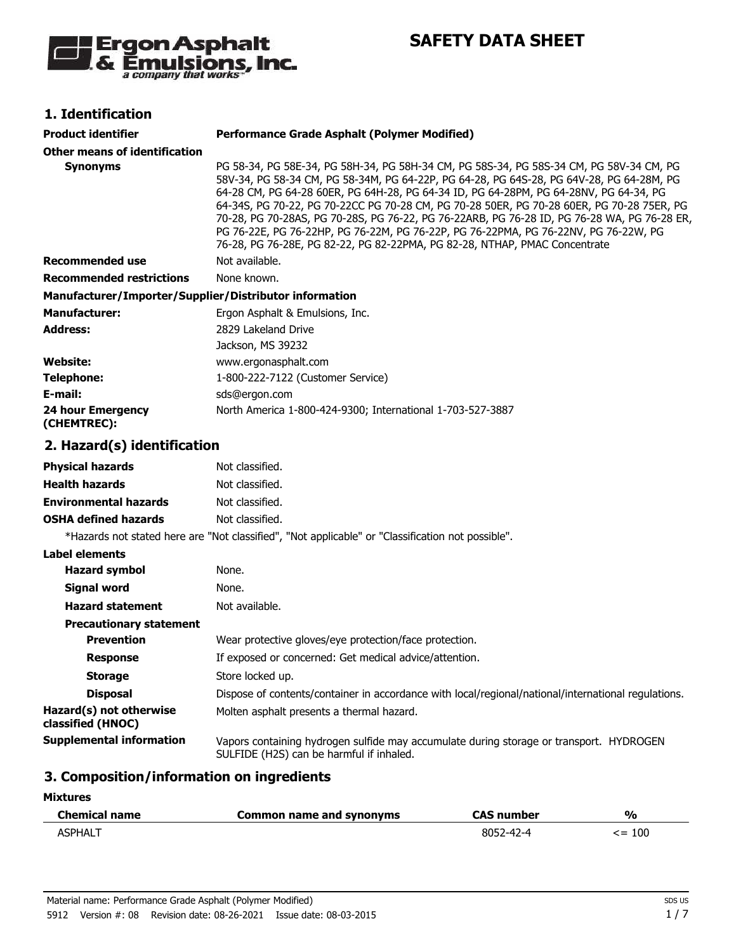

**SAFETY DATA SHEET**

## **1. Identification**

| <b>Product identifier</b>                              | <b>Performance Grade Asphalt (Polymer Modified)</b>                                                                                                                                                                                                                                                                                                                                                                                                                                                                                                                                                                                           |
|--------------------------------------------------------|-----------------------------------------------------------------------------------------------------------------------------------------------------------------------------------------------------------------------------------------------------------------------------------------------------------------------------------------------------------------------------------------------------------------------------------------------------------------------------------------------------------------------------------------------------------------------------------------------------------------------------------------------|
| <b>Other means of identification</b>                   |                                                                                                                                                                                                                                                                                                                                                                                                                                                                                                                                                                                                                                               |
| <b>Synonyms</b>                                        | PG 58-34, PG 58E-34, PG 58H-34, PG 58H-34 CM, PG 58S-34, PG 58S-34 CM, PG 58V-34 CM, PG<br>58V-34, PG 58-34 CM, PG 58-34M, PG 64-22P, PG 64-28, PG 64S-28, PG 64V-28, PG 64-28M, PG<br>64-28 CM, PG 64-28 60ER, PG 64H-28, PG 64-34 ID, PG 64-28PM, PG 64-28NV, PG 64-34, PG<br>64-34S, PG 70-22, PG 70-22CC PG 70-28 CM, PG 70-28 50ER, PG 70-28 60ER, PG 70-28 75ER, PG<br>70-28, PG 70-28AS, PG 70-28S, PG 76-22, PG 76-22ARB, PG 76-28 ID, PG 76-28 WA, PG 76-28 ER,<br>PG 76-22E, PG 76-22HP, PG 76-22M, PG 76-22P, PG 76-22PMA, PG 76-22NV, PG 76-22W, PG<br>76-28, PG 76-28E, PG 82-22, PG 82-22PMA, PG 82-28, NTHAP, PMAC Concentrate |
| <b>Recommended use</b>                                 | Not available.                                                                                                                                                                                                                                                                                                                                                                                                                                                                                                                                                                                                                                |
| <b>Recommended restrictions</b>                        | None known.                                                                                                                                                                                                                                                                                                                                                                                                                                                                                                                                                                                                                                   |
| Manufacturer/Importer/Supplier/Distributor information |                                                                                                                                                                                                                                                                                                                                                                                                                                                                                                                                                                                                                                               |
| <b>Manufacturer:</b>                                   | Ergon Asphalt & Emulsions, Inc.                                                                                                                                                                                                                                                                                                                                                                                                                                                                                                                                                                                                               |
| <b>Address:</b>                                        | 2829 Lakeland Drive                                                                                                                                                                                                                                                                                                                                                                                                                                                                                                                                                                                                                           |
|                                                        | Jackson, MS 39232                                                                                                                                                                                                                                                                                                                                                                                                                                                                                                                                                                                                                             |
| <b>Website:</b>                                        | www.ergonasphalt.com                                                                                                                                                                                                                                                                                                                                                                                                                                                                                                                                                                                                                          |
| <b>Telephone:</b>                                      | 1-800-222-7122 (Customer Service)                                                                                                                                                                                                                                                                                                                                                                                                                                                                                                                                                                                                             |
| E-mail:                                                | sds@ergon.com                                                                                                                                                                                                                                                                                                                                                                                                                                                                                                                                                                                                                                 |
| <b>24 hour Emergency</b><br>(CHEMTREC):                | North America 1-800-424-9300; International 1-703-527-3887                                                                                                                                                                                                                                                                                                                                                                                                                                                                                                                                                                                    |
| 2. Hazard(s) identification                            |                                                                                                                                                                                                                                                                                                                                                                                                                                                                                                                                                                                                                                               |
| <b>Physical hazards</b>                                | Not classified.                                                                                                                                                                                                                                                                                                                                                                                                                                                                                                                                                                                                                               |
| <b>Health hazards</b>                                  | Not classified.                                                                                                                                                                                                                                                                                                                                                                                                                                                                                                                                                                                                                               |
| <b>Environmental hazards</b>                           | Not classified.                                                                                                                                                                                                                                                                                                                                                                                                                                                                                                                                                                                                                               |
| <b>OSHA defined hazards</b>                            | Not classified.                                                                                                                                                                                                                                                                                                                                                                                                                                                                                                                                                                                                                               |
|                                                        | *Hazards not stated here are "Not classified", "Not applicable" or "Classification not possible".                                                                                                                                                                                                                                                                                                                                                                                                                                                                                                                                             |
| <b>Label elements</b>                                  |                                                                                                                                                                                                                                                                                                                                                                                                                                                                                                                                                                                                                                               |
| <b>Hazard symbol</b>                                   | None.                                                                                                                                                                                                                                                                                                                                                                                                                                                                                                                                                                                                                                         |
| <b>Signal word</b>                                     | None.                                                                                                                                                                                                                                                                                                                                                                                                                                                                                                                                                                                                                                         |
| <b>Hazard statement</b>                                | Not available.                                                                                                                                                                                                                                                                                                                                                                                                                                                                                                                                                                                                                                |
| <b>Precautionary statement</b>                         |                                                                                                                                                                                                                                                                                                                                                                                                                                                                                                                                                                                                                                               |
| <b>Prevention</b>                                      | Wear protective gloves/eye protection/face protection.                                                                                                                                                                                                                                                                                                                                                                                                                                                                                                                                                                                        |
| <b>Response</b>                                        | If exposed or concerned: Get medical advice/attention.                                                                                                                                                                                                                                                                                                                                                                                                                                                                                                                                                                                        |
| <b>Storage</b>                                         | Store locked up.                                                                                                                                                                                                                                                                                                                                                                                                                                                                                                                                                                                                                              |
| <b>Disposal</b>                                        | Dispose of contents/container in accordance with local/regional/national/international regulations.                                                                                                                                                                                                                                                                                                                                                                                                                                                                                                                                           |
| Hazard(s) not otherwise<br>classified (HNOC)           | Molten asphalt presents a thermal hazard.                                                                                                                                                                                                                                                                                                                                                                                                                                                                                                                                                                                                     |
| <b>Supplemental information</b>                        | Vapors containing hydrogen sulfide may accumulate during storage or transport. HYDROGEN<br>SULFIDE (H2S) can be harmful if inhaled.                                                                                                                                                                                                                                                                                                                                                                                                                                                                                                           |
|                                                        |                                                                                                                                                                                                                                                                                                                                                                                                                                                                                                                                                                                                                                               |

#### **3. Composition/information on ingredients**

#### **Mixtures**

| <b>Chemical name</b> | Common name and synonyms | CAS number | $\frac{9}{6}$ |
|----------------------|--------------------------|------------|---------------|
| <b>ASPHALT</b>       |                          | 8052-42-4  | 100<br>≃>     |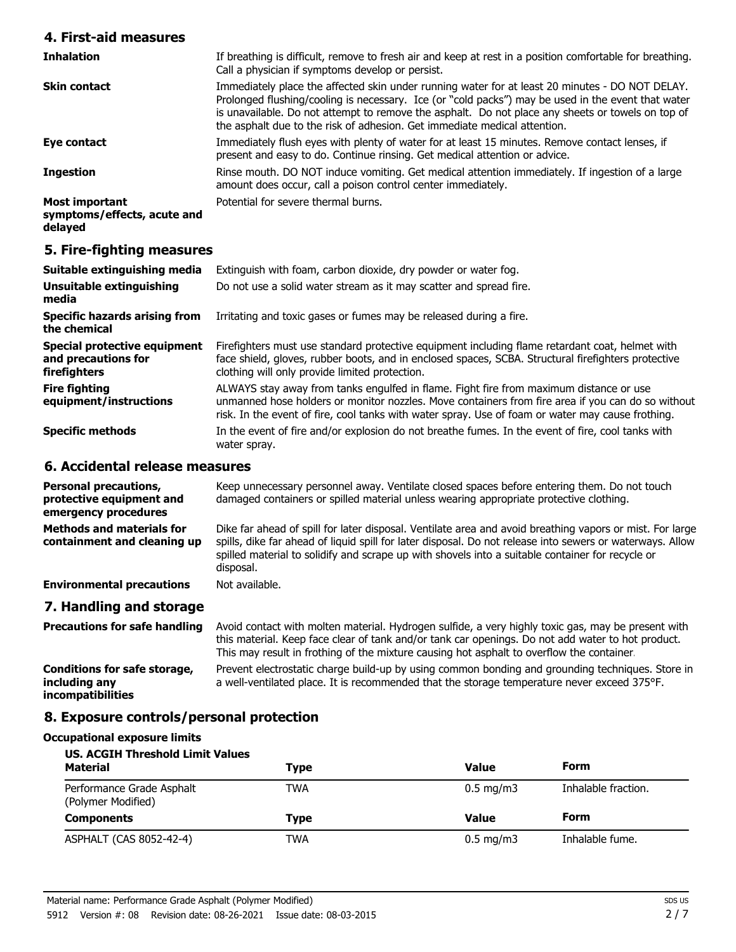#### **4. First-aid measures**

| <b>Inhalation</b>                                               | If breathing is difficult, remove to fresh air and keep at rest in a position comfortable for breathing.<br>Call a physician if symptoms develop or persist.                                                                                                                                                                                                                            |
|-----------------------------------------------------------------|-----------------------------------------------------------------------------------------------------------------------------------------------------------------------------------------------------------------------------------------------------------------------------------------------------------------------------------------------------------------------------------------|
| <b>Skin contact</b>                                             | Immediately place the affected skin under running water for at least 20 minutes - DO NOT DELAY.<br>Prolonged flushing/cooling is necessary. Ice (or "cold packs") may be used in the event that water<br>is unavailable. Do not attempt to remove the asphalt. Do not place any sheets or towels on top of<br>the asphalt due to the risk of adhesion. Get immediate medical attention. |
| Eye contact                                                     | Immediately flush eyes with plenty of water for at least 15 minutes. Remove contact lenses, if<br>present and easy to do. Continue rinsing. Get medical attention or advice.                                                                                                                                                                                                            |
| <b>Ingestion</b>                                                | Rinse mouth. DO NOT induce vomiting. Get medical attention immediately. If ingestion of a large<br>amount does occur, call a poison control center immediately.                                                                                                                                                                                                                         |
| <b>Most important</b><br>symptoms/effects, acute and<br>delayed | Potential for severe thermal burns.                                                                                                                                                                                                                                                                                                                                                     |

#### **5. Fire-fighting measures**

| Suitable extinguishing media                                        | Extinguish with foam, carbon dioxide, dry powder or water fog.                                                                                                                                                                                                                                   |
|---------------------------------------------------------------------|--------------------------------------------------------------------------------------------------------------------------------------------------------------------------------------------------------------------------------------------------------------------------------------------------|
| Unsuitable extinguishing<br>media                                   | Do not use a solid water stream as it may scatter and spread fire.                                                                                                                                                                                                                               |
| <b>Specific hazards arising from</b><br>the chemical                | Irritating and toxic gases or fumes may be released during a fire.                                                                                                                                                                                                                               |
| Special protective equipment<br>and precautions for<br>firefighters | Firefighters must use standard protective equipment including flame retardant coat, helmet with<br>face shield, gloves, rubber boots, and in enclosed spaces, SCBA. Structural firefighters protective<br>clothing will only provide limited protection.                                         |
| <b>Fire fighting</b><br>equipment/instructions                      | ALWAYS stay away from tanks engulfed in flame. Fight fire from maximum distance or use<br>unmanned hose holders or monitor nozzles. Move containers from fire area if you can do so without<br>risk. In the event of fire, cool tanks with water spray. Use of foam or water may cause frothing. |
| <b>Specific methods</b>                                             | In the event of fire and/or explosion do not breathe fumes. In the event of fire, cool tanks with<br>water spray.                                                                                                                                                                                |

#### **6. Accidental release measures**

| <b>Personal precautions,</b><br>protective equipment and<br>emergency procedures | Keep unnecessary personnel away. Ventilate closed spaces before entering them. Do not touch<br>damaged containers or spilled material unless wearing appropriate protective clothing.                                                                                                                                                  |
|----------------------------------------------------------------------------------|----------------------------------------------------------------------------------------------------------------------------------------------------------------------------------------------------------------------------------------------------------------------------------------------------------------------------------------|
| <b>Methods and materials for</b><br>containment and cleaning up                  | Dike far ahead of spill for later disposal. Ventilate area and avoid breathing vapors or mist. For large<br>spills, dike far ahead of liquid spill for later disposal. Do not release into sewers or waterways. Allow<br>spilled material to solidify and scrape up with shovels into a suitable container for recycle or<br>disposal. |
| <b>Environmental precautions</b>                                                 | Not available.                                                                                                                                                                                                                                                                                                                         |
| 7. Handling and storage                                                          |                                                                                                                                                                                                                                                                                                                                        |
| <b>Precautions for safe handling</b>                                             | Avoid contact with molten material. Hydrogen sulfide, a very highly toxic gas, may be present with<br>this material. Keep face clear of tank and/or tank car openings. Do not add water to hot product.<br>This may result in frothing of the mixture causing hot asphalt to overflow the container                                    |

Prevent electrostatic charge build-up by using common bonding and grounding techniques. Store in a well-ventilated place. It is recommended that the storage temperature never exceed 375°F. **Conditions for safe storage, including any incompatibilities**

#### **8. Exposure controls/personal protection**

# **Occupational exposure limits**

| <b>US. ACGIH Threshold Limit Values</b>         |             |                    |                     |
|-------------------------------------------------|-------------|--------------------|---------------------|
| <b>Material</b>                                 | Type        | Value              | <b>Form</b>         |
| Performance Grade Asphalt<br>(Polymer Modified) | TWA         | $0.5 \text{ mg/m}$ | Inhalable fraction. |
| <b>Components</b>                               | <b>Type</b> | Value              | <b>Form</b>         |
| ASPHALT (CAS 8052-42-4)                         | TWA         | $0.5 \text{ mg/m}$ | Inhalable fume.     |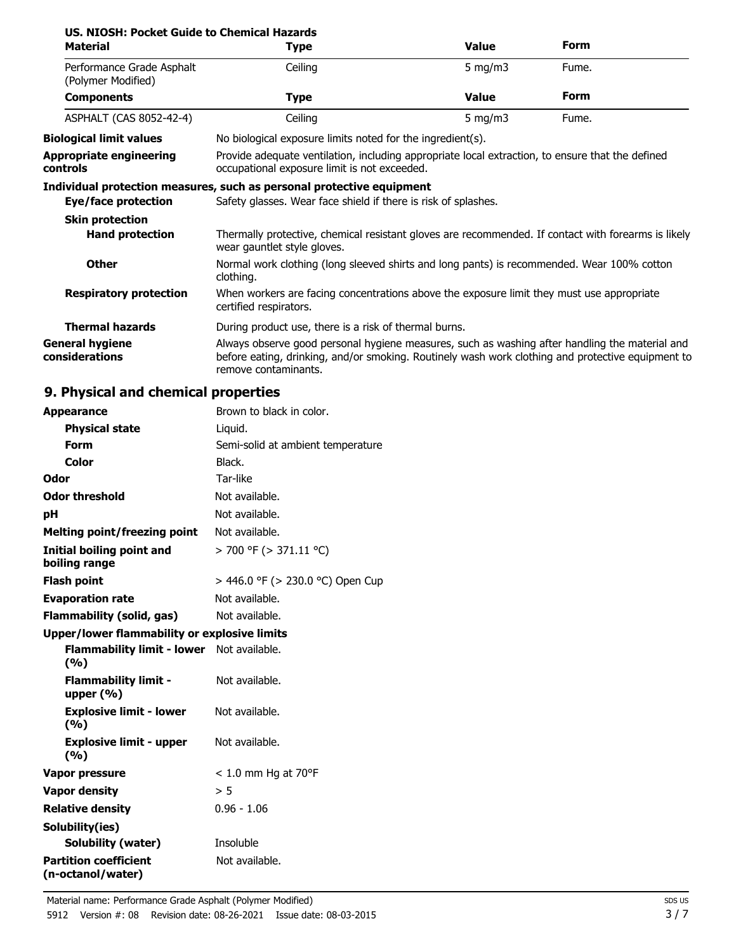| US. NIOSH: Pocket Guide to Chemical Hazards |             |
|---------------------------------------------|-------------|
| Material                                    | <b>Type</b> |

| <b>Material</b>                                 | <b>Type</b>                                                                                                                                                                                                                 | <b>Value</b>                                                                                                                                     | <b>Form</b> |  |
|-------------------------------------------------|-----------------------------------------------------------------------------------------------------------------------------------------------------------------------------------------------------------------------------|--------------------------------------------------------------------------------------------------------------------------------------------------|-------------|--|
| Performance Grade Asphalt<br>(Polymer Modified) | Ceiling                                                                                                                                                                                                                     | 5 mg/m $3$                                                                                                                                       | Fume.       |  |
| <b>Components</b>                               | <b>Type</b>                                                                                                                                                                                                                 | <b>Value</b>                                                                                                                                     | <b>Form</b> |  |
| ASPHALT (CAS 8052-42-4)                         | Ceiling                                                                                                                                                                                                                     | 5 mg/m $3$                                                                                                                                       | Fume.       |  |
| <b>Biological limit values</b>                  |                                                                                                                                                                                                                             | No biological exposure limits noted for the ingredient(s).                                                                                       |             |  |
| Appropriate engineering<br>controls             |                                                                                                                                                                                                                             | Provide adequate ventilation, including appropriate local extraction, to ensure that the defined<br>occupational exposure limit is not exceeded. |             |  |
| Eye/face protection                             | Individual protection measures, such as personal protective equipment<br>Safety glasses. Wear face shield if there is risk of splashes.                                                                                     |                                                                                                                                                  |             |  |
| <b>Skin protection</b>                          |                                                                                                                                                                                                                             |                                                                                                                                                  |             |  |
| <b>Hand protection</b>                          | Thermally protective, chemical resistant gloves are recommended. If contact with forearms is likely<br>wear gauntlet style gloves.                                                                                          |                                                                                                                                                  |             |  |
| <b>Other</b>                                    | Normal work clothing (long sleeved shirts and long pants) is recommended. Wear 100% cotton<br>clothing.                                                                                                                     |                                                                                                                                                  |             |  |
| <b>Respiratory protection</b>                   | When workers are facing concentrations above the exposure limit they must use appropriate<br>certified respirators.                                                                                                         |                                                                                                                                                  |             |  |
| <b>Thermal hazards</b>                          | During product use, there is a risk of thermal burns.                                                                                                                                                                       |                                                                                                                                                  |             |  |
| General hygiene<br>considerations               | Always observe good personal hygiene measures, such as washing after handling the material and<br>before eating, drinking, and/or smoking. Routinely wash work clothing and protective equipment to<br>remove contaminants. |                                                                                                                                                  |             |  |

# **9. Physical and chemical properties**

| <b>Appearance</b>                                 | Brown to black in color.          |
|---------------------------------------------------|-----------------------------------|
| <b>Physical state</b>                             | Liquid.                           |
| Form                                              | Semi-solid at ambient temperature |
| Color                                             | Black.                            |
| Odor                                              | Tar-like                          |
| <b>Odor threshold</b>                             | Not available.                    |
| рH                                                | Not available.                    |
| <b>Melting point/freezing point</b>               | Not available.                    |
| <b>Initial boiling point and</b><br>boiling range | > 700 °F (> 371.11 °C)            |
| <b>Flash point</b>                                | > 446.0 °F (> 230.0 °C) Open Cup  |
| <b>Evaporation rate</b>                           | Not available.                    |
| Flammability (solid, gas)                         | Not available.                    |
| Upper/lower flammability or explosive limits      |                                   |
| Flammability limit - lower Not available.<br>(%)  |                                   |
| <b>Flammability limit -</b><br>upper $(\% )$      | Not available.                    |
| <b>Explosive limit - lower</b><br>(%)             | Not available.                    |
| <b>Explosive limit - upper</b><br>(%)             | Not available.                    |
| Vapor pressure                                    | $< 1.0$ mm Hg at 70°F             |
| <b>Vapor density</b>                              | > 5                               |
| <b>Relative density</b>                           | $0.96 - 1.06$                     |
| Solubility(ies)                                   |                                   |
| <b>Solubility (water)</b>                         | Insoluble                         |
| <b>Partition coefficient</b><br>(n-octanol/water) | Not available.                    |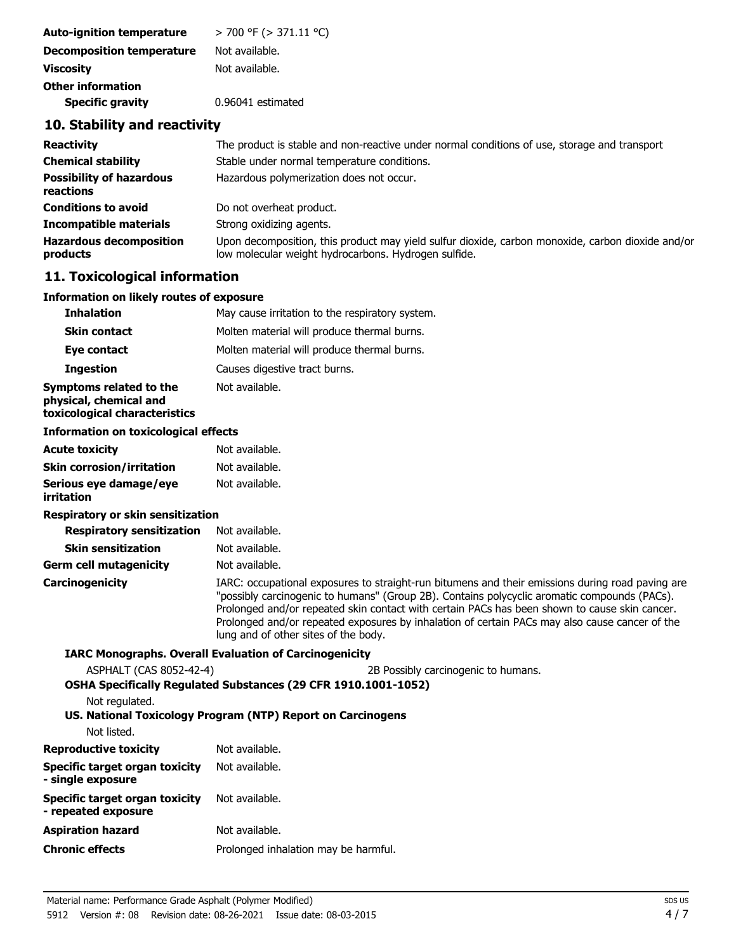| <b>Auto-ignition temperature</b> | > 700 °F (> 371.11 °C) |  |
|----------------------------------|------------------------|--|
| <b>Decomposition temperature</b> | Not available.         |  |
| <b>Viscosity</b>                 | Not available.         |  |
| <b>Other information</b>         |                        |  |
| <b>Specific gravity</b>          | 0.96041 estimated      |  |

#### **10. Stability and reactivity**

| <b>Reactivity</b>                            | The product is stable and non-reactive under normal conditions of use, storage and transport                                                              |
|----------------------------------------------|-----------------------------------------------------------------------------------------------------------------------------------------------------------|
| <b>Chemical stability</b>                    | Stable under normal temperature conditions.                                                                                                               |
| <b>Possibility of hazardous</b><br>reactions | Hazardous polymerization does not occur.                                                                                                                  |
| <b>Conditions to avoid</b>                   | Do not overheat product.                                                                                                                                  |
| <b>Incompatible materials</b>                | Strong oxidizing agents.                                                                                                                                  |
| <b>Hazardous decomposition</b><br>products   | Upon decomposition, this product may yield sulfur dioxide, carbon monoxide, carbon dioxide and/or<br>low molecular weight hydrocarbons. Hydrogen sulfide. |

#### **11. Toxicological information**

#### **Information on likely routes of exposure**

| <b>Inhalation</b>                                 | May cause irritation to the respiratory system. |
|---------------------------------------------------|-------------------------------------------------|
| <b>Skin contact</b>                               | Molten material will produce thermal burns.     |
| Eye contact                                       | Molten material will produce thermal burns.     |
| <b>Ingestion</b>                                  | Causes digestive tract burns.                   |
| Symptoms related to the<br>physical, chemical and | Not available.                                  |

# **toxicological characteristics**

#### **Information on toxicological effects**

| Acute toxicitv            | Not available. |
|---------------------------|----------------|
| Skin corrosion/irritation | Not available. |
| Serious eye damage/eye    | Not available. |
| irritation                |                |

#### **Respiratory or skin sensitization**

**Respiratory sensitization** Not available.

| <b>Skin sensitization</b> | Not available.                                                                                                                                                                                                                                                                                                                                                                                                                              |
|---------------------------|---------------------------------------------------------------------------------------------------------------------------------------------------------------------------------------------------------------------------------------------------------------------------------------------------------------------------------------------------------------------------------------------------------------------------------------------|
| Germ cell mutagenicity    | Not available.                                                                                                                                                                                                                                                                                                                                                                                                                              |
| Carcinogenicity           | IARC: occupational exposures to straight-run bitumens and their emissions during road paving are<br>"possibly carcinogenic to humans" (Group 2B). Contains polycyclic aromatic compounds (PACs).<br>Prolonged and/or repeated skin contact with certain PACs has been shown to cause skin cancer.<br>Prolonged and/or repeated exposures by inhalation of certain PACs may also cause cancer of the<br>lung and of other sites of the body. |

#### **IARC Monographs. Overall Evaluation of Carcinogenicity**

ASPHALT (CAS 8052-42-4) 2B Possibly carcinogenic to humans.

| Not regulated.                                        | <b>OSHA Specifically Regulated Substances (29 CFR 1910.1001-1052)</b> |
|-------------------------------------------------------|-----------------------------------------------------------------------|
|                                                       | US. National Toxicology Program (NTP) Report on Carcinogens           |
| Not listed.                                           |                                                                       |
| Reproductive toxicity                                 | Not available.                                                        |
| Specific target organ toxicity<br>- single exposure   | Not available.                                                        |
| Specific target organ toxicity<br>- repeated exposure | Not available.                                                        |
| Aspiration hazard                                     | Not available.                                                        |
| Chronic effects                                       | Prolonged inhalation may be harmful.                                  |
|                                                       |                                                                       |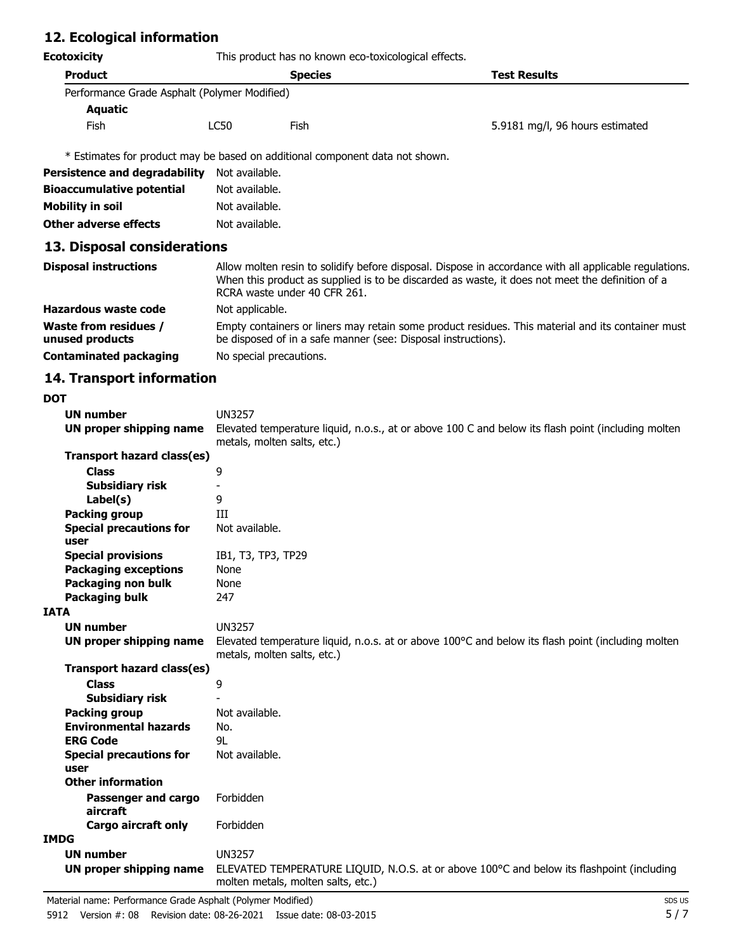## **12. Ecological information**

| <b>Ecotoxicity</b>                           | This product has no known eco-toxicological effects.                                                                                                                                                                                      |                                                                              |                                 |
|----------------------------------------------|-------------------------------------------------------------------------------------------------------------------------------------------------------------------------------------------------------------------------------------------|------------------------------------------------------------------------------|---------------------------------|
| <b>Product</b>                               |                                                                                                                                                                                                                                           | <b>Species</b>                                                               | <b>Test Results</b>             |
| Performance Grade Asphalt (Polymer Modified) |                                                                                                                                                                                                                                           |                                                                              |                                 |
| Aquatic                                      |                                                                                                                                                                                                                                           |                                                                              |                                 |
| <b>Fish</b>                                  | LC50<br>Fish                                                                                                                                                                                                                              |                                                                              | 5.9181 mg/l, 96 hours estimated |
|                                              |                                                                                                                                                                                                                                           | * Estimates for product may be based on additional component data not shown. |                                 |
| <b>Persistence and degradability</b>         | Not available.                                                                                                                                                                                                                            |                                                                              |                                 |
| <b>Bioaccumulative potential</b>             | Not available.                                                                                                                                                                                                                            |                                                                              |                                 |
| <b>Mobility in soil</b>                      | Not available.                                                                                                                                                                                                                            |                                                                              |                                 |
| Other adverse effects                        | Not available.                                                                                                                                                                                                                            |                                                                              |                                 |
| 13. Disposal considerations                  |                                                                                                                                                                                                                                           |                                                                              |                                 |
| <b>Disposal instructions</b>                 | Allow molten resin to solidify before disposal. Dispose in accordance with all applicable regulations.<br>When this product as supplied is to be discarded as waste, it does not meet the definition of a<br>RCRA waste under 40 CFR 261. |                                                                              |                                 |
| Hazardous waste code                         | Not applicable.                                                                                                                                                                                                                           |                                                                              |                                 |
| Waste from residues /<br>unused products     | Empty containers or liners may retain some product residues. This material and its container must<br>be disposed of in a safe manner (see: Disposal instructions).                                                                        |                                                                              |                                 |
| <b>Contaminated packaging</b>                | No special precautions.                                                                                                                                                                                                                   |                                                                              |                                 |

# **14. Transport information**

|    | ٠           |  |
|----|-------------|--|
|    |             |  |
| ۰, | I<br>×<br>v |  |

| וטע                            |                                                                                                                                            |
|--------------------------------|--------------------------------------------------------------------------------------------------------------------------------------------|
| UN number                      | <b>UN3257</b>                                                                                                                              |
| UN proper shipping name        | Elevated temperature liquid, n.o.s., at or above 100 C and below its flash point (including molten                                         |
|                                | metals, molten salts, etc.)                                                                                                                |
| Transport hazard class(es)     |                                                                                                                                            |
| <b>Class</b>                   | 9                                                                                                                                          |
| Subsidiary risk                |                                                                                                                                            |
| Label(s)                       | 9                                                                                                                                          |
| <b>Packing group</b>           | ИI                                                                                                                                         |
| <b>Special precautions for</b> | Not available.                                                                                                                             |
| user                           |                                                                                                                                            |
| <b>Special provisions</b>      | IB1, T3, TP3, TP29                                                                                                                         |
| <b>Packaging exceptions</b>    | None                                                                                                                                       |
| Packaging non bulk             | None                                                                                                                                       |
| <b>Packaging bulk</b>          | 247                                                                                                                                        |
| <b>IATA</b>                    |                                                                                                                                            |
| <b>UN number</b>               | <b>UN3257</b>                                                                                                                              |
| UN proper shipping name        | Elevated temperature liquid, n.o.s. at or above $100^{\circ}$ C and below its flash point (including molten<br>metals, molten salts, etc.) |
| Transport hazard class(es)     |                                                                                                                                            |
| <b>Class</b>                   | 9                                                                                                                                          |
| <b>Subsidiary risk</b>         |                                                                                                                                            |
| <b>Packing group</b>           | Not available.                                                                                                                             |
| <b>Environmental hazards</b>   | No.                                                                                                                                        |
| <b>ERG Code</b>                | 91                                                                                                                                         |
| <b>Special precautions for</b> | Not available.                                                                                                                             |
| user                           |                                                                                                                                            |
| <b>Other information</b>       |                                                                                                                                            |
| Passenger and cargo            | Forbidden                                                                                                                                  |
| aircraft                       |                                                                                                                                            |
| <b>Cargo aircraft only</b>     | Forbidden                                                                                                                                  |
| <b>IMDG</b>                    |                                                                                                                                            |
| <b>UN number</b>               | <b>UN3257</b>                                                                                                                              |
| UN proper shipping name        | ELEVATED TEMPERATURE LIQUID, N.O.S. at or above 100°C and below its flashpoint (including<br>molten metals, molten salts, etc.)            |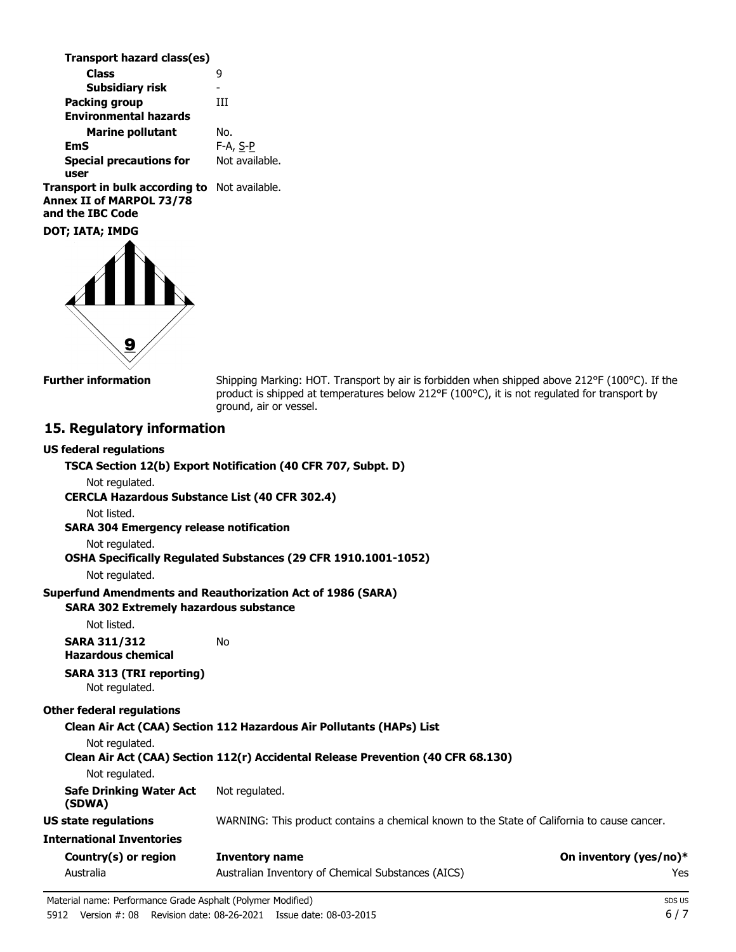| Transport hazard class(es)                           |                |
|------------------------------------------------------|----------------|
| <b>Class</b>                                         | q              |
| <b>Subsidiary risk</b>                               |                |
| <b>Packing group</b>                                 | Ш              |
| <b>Environmental hazards</b>                         |                |
| <b>Marine pollutant</b>                              | No.            |
| EmS                                                  | $F-A, S-P$     |
| <b>Special precautions for</b>                       | Not available. |
| user                                                 |                |
| <b>Transport in bulk according to</b> Not available. |                |

**Annex II of MARPOL 73/78 and the IBC Code**

**DOT; IATA; IMDG**



**Further information**

Shipping Marking: HOT. Transport by air is forbidden when shipped above 212°F (100°C). If the product is shipped at temperatures below 212°F (100°C), it is not regulated for transport by ground, air or vessel.

#### **15. Regulatory information**

| <b>US federal regulations</b>                         |                                                                                             |                        |
|-------------------------------------------------------|---------------------------------------------------------------------------------------------|------------------------|
|                                                       | TSCA Section 12(b) Export Notification (40 CFR 707, Subpt. D)                               |                        |
| Not regulated.                                        |                                                                                             |                        |
| <b>CERCLA Hazardous Substance List (40 CFR 302.4)</b> |                                                                                             |                        |
| Not listed.                                           |                                                                                             |                        |
| <b>SARA 304 Emergency release notification</b>        |                                                                                             |                        |
| Not regulated.                                        |                                                                                             |                        |
|                                                       | OSHA Specifically Regulated Substances (29 CFR 1910.1001-1052)                              |                        |
| Not regulated.                                        |                                                                                             |                        |
|                                                       | <b>Superfund Amendments and Reauthorization Act of 1986 (SARA)</b>                          |                        |
| <b>SARA 302 Extremely hazardous substance</b>         |                                                                                             |                        |
| Not listed.                                           |                                                                                             |                        |
| <b>SARA 311/312</b><br><b>Hazardous chemical</b>      | No                                                                                          |                        |
| <b>SARA 313 (TRI reporting)</b><br>Not regulated.     |                                                                                             |                        |
| <b>Other federal regulations</b>                      |                                                                                             |                        |
|                                                       | Clean Air Act (CAA) Section 112 Hazardous Air Pollutants (HAPs) List                        |                        |
| Not regulated.                                        |                                                                                             |                        |
|                                                       | Clean Air Act (CAA) Section 112(r) Accidental Release Prevention (40 CFR 68.130)            |                        |
| Not regulated.                                        |                                                                                             |                        |
| <b>Safe Drinking Water Act</b><br>(SDWA)              | Not regulated.                                                                              |                        |
| <b>US state regulations</b>                           | WARNING: This product contains a chemical known to the State of California to cause cancer. |                        |
| <b>International Inventories</b>                      |                                                                                             |                        |
| Country(s) or region                                  | <b>Inventory name</b>                                                                       | On inventory (yes/no)* |
| Australia                                             | Australian Inventory of Chemical Substances (AICS)                                          | Yes                    |